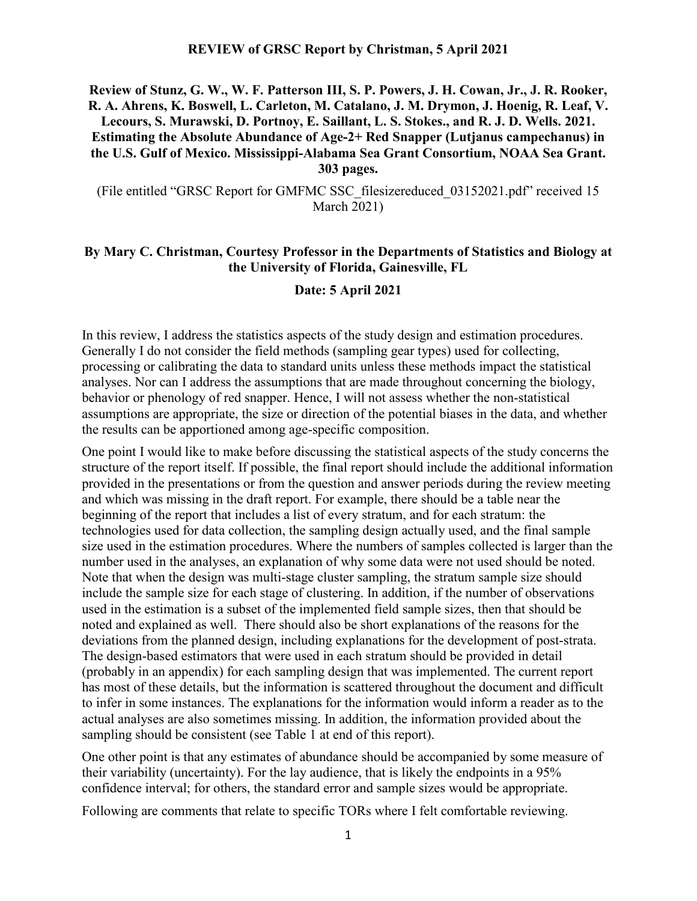#### **Review of Stunz, G. W., W. F. Patterson III, S. P. Powers, J. H. Cowan, Jr., J. R. Rooker, R. A. Ahrens, K. Boswell, L. Carleton, M. Catalano, J. M. Drymon, J. Hoenig, R. Leaf, V. Lecours, S. Murawski, D. Portnoy, E. Saillant, L. S. Stokes., and R. J. D. Wells. 2021. Estimating the Absolute Abundance of Age-2+ Red Snapper (Lutjanus campechanus) in the U.S. Gulf of Mexico. Mississippi-Alabama Sea Grant Consortium, NOAA Sea Grant. 303 pages.**

(File entitled "GRSC Report for GMFMC SSC\_filesizereduced\_03152021.pdf" received 15 March 2021)

#### **By Mary C. Christman, Courtesy Professor in the Departments of Statistics and Biology at the University of Florida, Gainesville, FL**

#### **Date: 5 April 2021**

In this review, I address the statistics aspects of the study design and estimation procedures. Generally I do not consider the field methods (sampling gear types) used for collecting, processing or calibrating the data to standard units unless these methods impact the statistical analyses. Nor can I address the assumptions that are made throughout concerning the biology, behavior or phenology of red snapper. Hence, I will not assess whether the non-statistical assumptions are appropriate, the size or direction of the potential biases in the data, and whether the results can be apportioned among age-specific composition.

One point I would like to make before discussing the statistical aspects of the study concerns the structure of the report itself. If possible, the final report should include the additional information provided in the presentations or from the question and answer periods during the review meeting and which was missing in the draft report. For example, there should be a table near the beginning of the report that includes a list of every stratum, and for each stratum: the technologies used for data collection, the sampling design actually used, and the final sample size used in the estimation procedures. Where the numbers of samples collected is larger than the number used in the analyses, an explanation of why some data were not used should be noted. Note that when the design was multi-stage cluster sampling, the stratum sample size should include the sample size for each stage of clustering. In addition, if the number of observations used in the estimation is a subset of the implemented field sample sizes, then that should be noted and explained as well. There should also be short explanations of the reasons for the deviations from the planned design, including explanations for the development of post-strata. The design-based estimators that were used in each stratum should be provided in detail (probably in an appendix) for each sampling design that was implemented. The current report has most of these details, but the information is scattered throughout the document and difficult to infer in some instances. The explanations for the information would inform a reader as to the actual analyses are also sometimes missing. In addition, the information provided about the sampling should be consistent (see Table 1 at end of this report).

One other point is that any estimates of abundance should be accompanied by some measure of their variability (uncertainty). For the lay audience, that is likely the endpoints in a 95% confidence interval; for others, the standard error and sample sizes would be appropriate.

Following are comments that relate to specific TORs where I felt comfortable reviewing.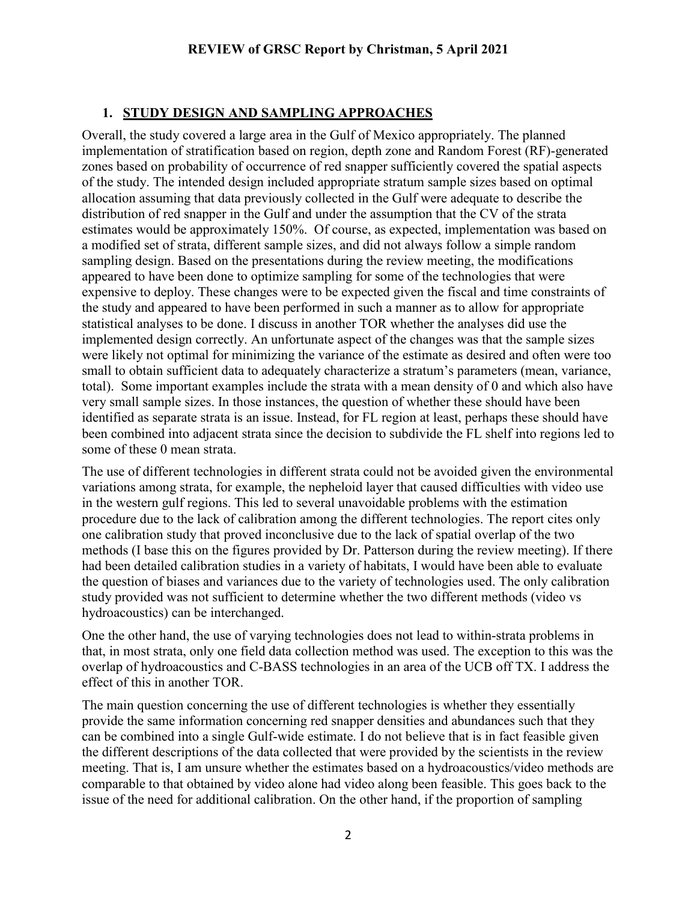## **1. STUDY DESIGN AND SAMPLING APPROACHES**

Overall, the study covered a large area in the Gulf of Mexico appropriately. The planned implementation of stratification based on region, depth zone and Random Forest (RF)-generated zones based on probability of occurrence of red snapper sufficiently covered the spatial aspects of the study. The intended design included appropriate stratum sample sizes based on optimal allocation assuming that data previously collected in the Gulf were adequate to describe the distribution of red snapper in the Gulf and under the assumption that the CV of the strata estimates would be approximately 150%. Of course, as expected, implementation was based on a modified set of strata, different sample sizes, and did not always follow a simple random sampling design. Based on the presentations during the review meeting, the modifications appeared to have been done to optimize sampling for some of the technologies that were expensive to deploy. These changes were to be expected given the fiscal and time constraints of the study and appeared to have been performed in such a manner as to allow for appropriate statistical analyses to be done. I discuss in another TOR whether the analyses did use the implemented design correctly. An unfortunate aspect of the changes was that the sample sizes were likely not optimal for minimizing the variance of the estimate as desired and often were too small to obtain sufficient data to adequately characterize a stratum's parameters (mean, variance, total). Some important examples include the strata with a mean density of 0 and which also have very small sample sizes. In those instances, the question of whether these should have been identified as separate strata is an issue. Instead, for FL region at least, perhaps these should have been combined into adjacent strata since the decision to subdivide the FL shelf into regions led to some of these 0 mean strata.

The use of different technologies in different strata could not be avoided given the environmental variations among strata, for example, the nepheloid layer that caused difficulties with video use in the western gulf regions. This led to several unavoidable problems with the estimation procedure due to the lack of calibration among the different technologies. The report cites only one calibration study that proved inconclusive due to the lack of spatial overlap of the two methods (I base this on the figures provided by Dr. Patterson during the review meeting). If there had been detailed calibration studies in a variety of habitats, I would have been able to evaluate the question of biases and variances due to the variety of technologies used. The only calibration study provided was not sufficient to determine whether the two different methods (video vs hydroacoustics) can be interchanged.

One the other hand, the use of varying technologies does not lead to within-strata problems in that, in most strata, only one field data collection method was used. The exception to this was the overlap of hydroacoustics and C-BASS technologies in an area of the UCB off TX. I address the effect of this in another TOR.

The main question concerning the use of different technologies is whether they essentially provide the same information concerning red snapper densities and abundances such that they can be combined into a single Gulf-wide estimate. I do not believe that is in fact feasible given the different descriptions of the data collected that were provided by the scientists in the review meeting. That is, I am unsure whether the estimates based on a hydroacoustics/video methods are comparable to that obtained by video alone had video along been feasible. This goes back to the issue of the need for additional calibration. On the other hand, if the proportion of sampling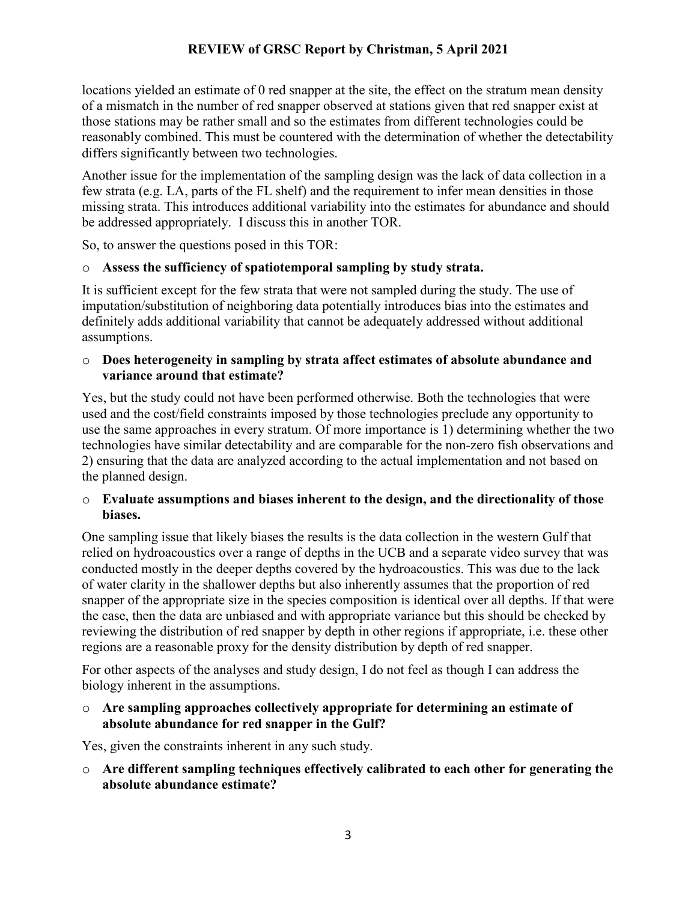locations yielded an estimate of 0 red snapper at the site, the effect on the stratum mean density of a mismatch in the number of red snapper observed at stations given that red snapper exist at those stations may be rather small and so the estimates from different technologies could be reasonably combined. This must be countered with the determination of whether the detectability differs significantly between two technologies.

Another issue for the implementation of the sampling design was the lack of data collection in a few strata (e.g. LA, parts of the FL shelf) and the requirement to infer mean densities in those missing strata. This introduces additional variability into the estimates for abundance and should be addressed appropriately. I discuss this in another TOR.

So, to answer the questions posed in this TOR:

#### o **Assess the sufficiency of spatiotemporal sampling by study strata.**

It is sufficient except for the few strata that were not sampled during the study. The use of imputation/substitution of neighboring data potentially introduces bias into the estimates and definitely adds additional variability that cannot be adequately addressed without additional assumptions.

#### o **Does heterogeneity in sampling by strata affect estimates of absolute abundance and variance around that estimate?**

Yes, but the study could not have been performed otherwise. Both the technologies that were used and the cost/field constraints imposed by those technologies preclude any opportunity to use the same approaches in every stratum. Of more importance is 1) determining whether the two technologies have similar detectability and are comparable for the non-zero fish observations and 2) ensuring that the data are analyzed according to the actual implementation and not based on the planned design.

#### o **Evaluate assumptions and biases inherent to the design, and the directionality of those biases.**

One sampling issue that likely biases the results is the data collection in the western Gulf that relied on hydroacoustics over a range of depths in the UCB and a separate video survey that was conducted mostly in the deeper depths covered by the hydroacoustics. This was due to the lack of water clarity in the shallower depths but also inherently assumes that the proportion of red snapper of the appropriate size in the species composition is identical over all depths. If that were the case, then the data are unbiased and with appropriate variance but this should be checked by reviewing the distribution of red snapper by depth in other regions if appropriate, i.e. these other regions are a reasonable proxy for the density distribution by depth of red snapper.

For other aspects of the analyses and study design, I do not feel as though I can address the biology inherent in the assumptions.

#### o **Are sampling approaches collectively appropriate for determining an estimate of absolute abundance for red snapper in the Gulf?**

Yes, given the constraints inherent in any such study.

o **Are different sampling techniques effectively calibrated to each other for generating the absolute abundance estimate?**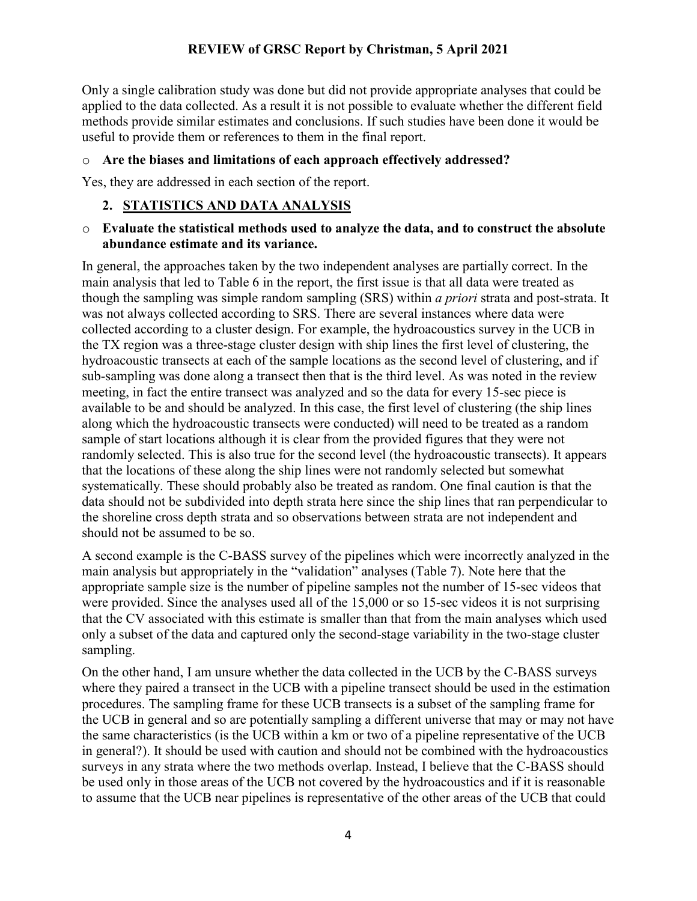Only a single calibration study was done but did not provide appropriate analyses that could be applied to the data collected. As a result it is not possible to evaluate whether the different field methods provide similar estimates and conclusions. If such studies have been done it would be useful to provide them or references to them in the final report.

#### o **Are the biases and limitations of each approach effectively addressed?**

Yes, they are addressed in each section of the report.

### **2. STATISTICS AND DATA ANALYSIS**

#### o **Evaluate the statistical methods used to analyze the data, and to construct the absolute abundance estimate and its variance.**

In general, the approaches taken by the two independent analyses are partially correct. In the main analysis that led to Table 6 in the report, the first issue is that all data were treated as though the sampling was simple random sampling (SRS) within *a priori* strata and post-strata. It was not always collected according to SRS. There are several instances where data were collected according to a cluster design. For example, the hydroacoustics survey in the UCB in the TX region was a three-stage cluster design with ship lines the first level of clustering, the hydroacoustic transects at each of the sample locations as the second level of clustering, and if sub-sampling was done along a transect then that is the third level. As was noted in the review meeting, in fact the entire transect was analyzed and so the data for every 15-sec piece is available to be and should be analyzed. In this case, the first level of clustering (the ship lines along which the hydroacoustic transects were conducted) will need to be treated as a random sample of start locations although it is clear from the provided figures that they were not randomly selected. This is also true for the second level (the hydroacoustic transects). It appears that the locations of these along the ship lines were not randomly selected but somewhat systematically. These should probably also be treated as random. One final caution is that the data should not be subdivided into depth strata here since the ship lines that ran perpendicular to the shoreline cross depth strata and so observations between strata are not independent and should not be assumed to be so.

A second example is the C-BASS survey of the pipelines which were incorrectly analyzed in the main analysis but appropriately in the "validation" analyses (Table 7). Note here that the appropriate sample size is the number of pipeline samples not the number of 15-sec videos that were provided. Since the analyses used all of the 15,000 or so 15-sec videos it is not surprising that the CV associated with this estimate is smaller than that from the main analyses which used only a subset of the data and captured only the second-stage variability in the two-stage cluster sampling.

On the other hand, I am unsure whether the data collected in the UCB by the C-BASS surveys where they paired a transect in the UCB with a pipeline transect should be used in the estimation procedures. The sampling frame for these UCB transects is a subset of the sampling frame for the UCB in general and so are potentially sampling a different universe that may or may not have the same characteristics (is the UCB within a km or two of a pipeline representative of the UCB in general?). It should be used with caution and should not be combined with the hydroacoustics surveys in any strata where the two methods overlap. Instead, I believe that the C-BASS should be used only in those areas of the UCB not covered by the hydroacoustics and if it is reasonable to assume that the UCB near pipelines is representative of the other areas of the UCB that could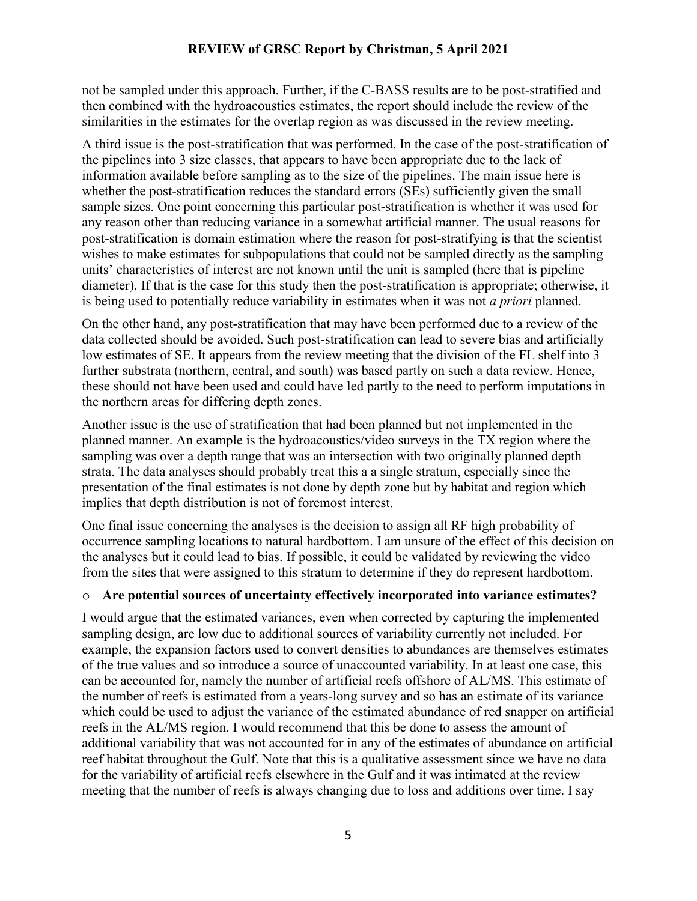not be sampled under this approach. Further, if the C-BASS results are to be post-stratified and then combined with the hydroacoustics estimates, the report should include the review of the similarities in the estimates for the overlap region as was discussed in the review meeting.

A third issue is the post-stratification that was performed. In the case of the post-stratification of the pipelines into 3 size classes, that appears to have been appropriate due to the lack of information available before sampling as to the size of the pipelines. The main issue here is whether the post-stratification reduces the standard errors (SEs) sufficiently given the small sample sizes. One point concerning this particular post-stratification is whether it was used for any reason other than reducing variance in a somewhat artificial manner. The usual reasons for post-stratification is domain estimation where the reason for post-stratifying is that the scientist wishes to make estimates for subpopulations that could not be sampled directly as the sampling units' characteristics of interest are not known until the unit is sampled (here that is pipeline diameter). If that is the case for this study then the post-stratification is appropriate; otherwise, it is being used to potentially reduce variability in estimates when it was not *a priori* planned.

On the other hand, any post-stratification that may have been performed due to a review of the data collected should be avoided. Such post-stratification can lead to severe bias and artificially low estimates of SE. It appears from the review meeting that the division of the FL shelf into 3 further substrata (northern, central, and south) was based partly on such a data review. Hence, these should not have been used and could have led partly to the need to perform imputations in the northern areas for differing depth zones.

Another issue is the use of stratification that had been planned but not implemented in the planned manner. An example is the hydroacoustics/video surveys in the TX region where the sampling was over a depth range that was an intersection with two originally planned depth strata. The data analyses should probably treat this a a single stratum, especially since the presentation of the final estimates is not done by depth zone but by habitat and region which implies that depth distribution is not of foremost interest.

One final issue concerning the analyses is the decision to assign all RF high probability of occurrence sampling locations to natural hardbottom. I am unsure of the effect of this decision on the analyses but it could lead to bias. If possible, it could be validated by reviewing the video from the sites that were assigned to this stratum to determine if they do represent hardbottom.

### o **Are potential sources of uncertainty effectively incorporated into variance estimates?**

I would argue that the estimated variances, even when corrected by capturing the implemented sampling design, are low due to additional sources of variability currently not included. For example, the expansion factors used to convert densities to abundances are themselves estimates of the true values and so introduce a source of unaccounted variability. In at least one case, this can be accounted for, namely the number of artificial reefs offshore of AL/MS. This estimate of the number of reefs is estimated from a years-long survey and so has an estimate of its variance which could be used to adjust the variance of the estimated abundance of red snapper on artificial reefs in the AL/MS region. I would recommend that this be done to assess the amount of additional variability that was not accounted for in any of the estimates of abundance on artificial reef habitat throughout the Gulf. Note that this is a qualitative assessment since we have no data for the variability of artificial reefs elsewhere in the Gulf and it was intimated at the review meeting that the number of reefs is always changing due to loss and additions over time. I say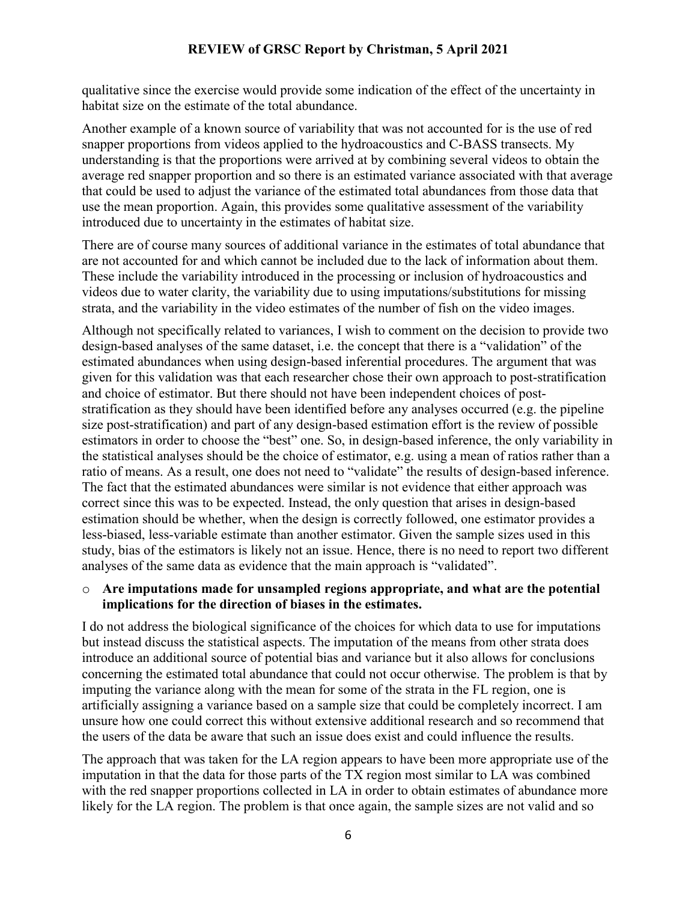qualitative since the exercise would provide some indication of the effect of the uncertainty in habitat size on the estimate of the total abundance.

Another example of a known source of variability that was not accounted for is the use of red snapper proportions from videos applied to the hydroacoustics and C-BASS transects. My understanding is that the proportions were arrived at by combining several videos to obtain the average red snapper proportion and so there is an estimated variance associated with that average that could be used to adjust the variance of the estimated total abundances from those data that use the mean proportion. Again, this provides some qualitative assessment of the variability introduced due to uncertainty in the estimates of habitat size.

There are of course many sources of additional variance in the estimates of total abundance that are not accounted for and which cannot be included due to the lack of information about them. These include the variability introduced in the processing or inclusion of hydroacoustics and videos due to water clarity, the variability due to using imputations/substitutions for missing strata, and the variability in the video estimates of the number of fish on the video images.

Although not specifically related to variances, I wish to comment on the decision to provide two design-based analyses of the same dataset, i.e. the concept that there is a "validation" of the estimated abundances when using design-based inferential procedures. The argument that was given for this validation was that each researcher chose their own approach to post-stratification and choice of estimator. But there should not have been independent choices of poststratification as they should have been identified before any analyses occurred (e.g. the pipeline size post-stratification) and part of any design-based estimation effort is the review of possible estimators in order to choose the "best" one. So, in design-based inference, the only variability in the statistical analyses should be the choice of estimator, e.g. using a mean of ratios rather than a ratio of means. As a result, one does not need to "validate" the results of design-based inference. The fact that the estimated abundances were similar is not evidence that either approach was correct since this was to be expected. Instead, the only question that arises in design-based estimation should be whether, when the design is correctly followed, one estimator provides a less-biased, less-variable estimate than another estimator. Given the sample sizes used in this study, bias of the estimators is likely not an issue. Hence, there is no need to report two different analyses of the same data as evidence that the main approach is "validated".

#### o **Are imputations made for unsampled regions appropriate, and what are the potential implications for the direction of biases in the estimates.**

I do not address the biological significance of the choices for which data to use for imputations but instead discuss the statistical aspects. The imputation of the means from other strata does introduce an additional source of potential bias and variance but it also allows for conclusions concerning the estimated total abundance that could not occur otherwise. The problem is that by imputing the variance along with the mean for some of the strata in the FL region, one is artificially assigning a variance based on a sample size that could be completely incorrect. I am unsure how one could correct this without extensive additional research and so recommend that the users of the data be aware that such an issue does exist and could influence the results.

The approach that was taken for the LA region appears to have been more appropriate use of the imputation in that the data for those parts of the TX region most similar to LA was combined with the red snapper proportions collected in LA in order to obtain estimates of abundance more likely for the LA region. The problem is that once again, the sample sizes are not valid and so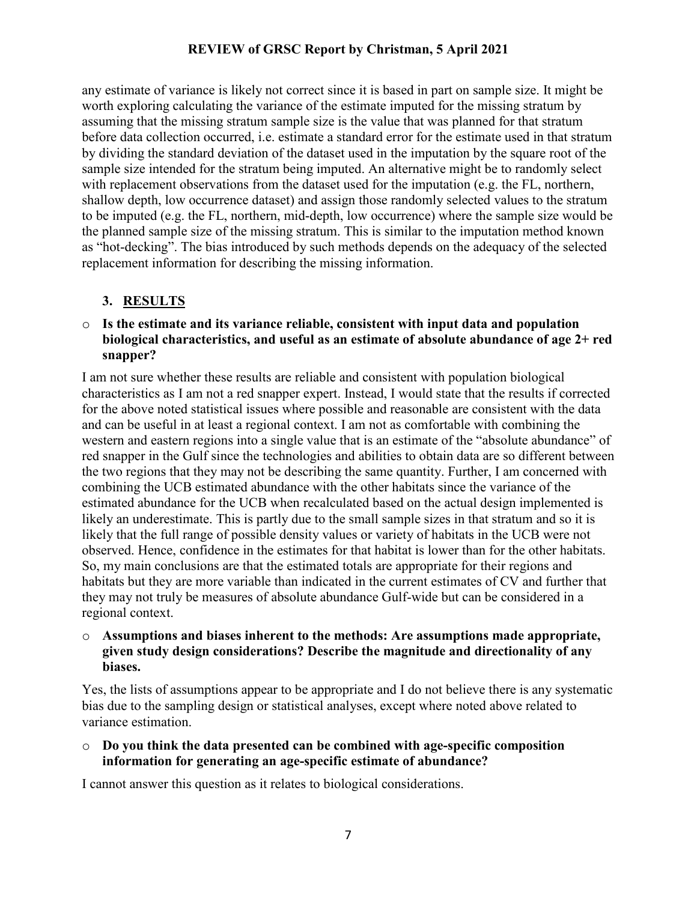any estimate of variance is likely not correct since it is based in part on sample size. It might be worth exploring calculating the variance of the estimate imputed for the missing stratum by assuming that the missing stratum sample size is the value that was planned for that stratum before data collection occurred, i.e. estimate a standard error for the estimate used in that stratum by dividing the standard deviation of the dataset used in the imputation by the square root of the sample size intended for the stratum being imputed. An alternative might be to randomly select with replacement observations from the dataset used for the imputation (e.g. the FL, northern, shallow depth, low occurrence dataset) and assign those randomly selected values to the stratum to be imputed (e.g. the FL, northern, mid-depth, low occurrence) where the sample size would be the planned sample size of the missing stratum. This is similar to the imputation method known as "hot-decking". The bias introduced by such methods depends on the adequacy of the selected replacement information for describing the missing information.

# **3. RESULTS**

o **Is the estimate and its variance reliable, consistent with input data and population biological characteristics, and useful as an estimate of absolute abundance of age 2+ red snapper?**

I am not sure whether these results are reliable and consistent with population biological characteristics as I am not a red snapper expert. Instead, I would state that the results if corrected for the above noted statistical issues where possible and reasonable are consistent with the data and can be useful in at least a regional context. I am not as comfortable with combining the western and eastern regions into a single value that is an estimate of the "absolute abundance" of red snapper in the Gulf since the technologies and abilities to obtain data are so different between the two regions that they may not be describing the same quantity. Further, I am concerned with combining the UCB estimated abundance with the other habitats since the variance of the estimated abundance for the UCB when recalculated based on the actual design implemented is likely an underestimate. This is partly due to the small sample sizes in that stratum and so it is likely that the full range of possible density values or variety of habitats in the UCB were not observed. Hence, confidence in the estimates for that habitat is lower than for the other habitats. So, my main conclusions are that the estimated totals are appropriate for their regions and habitats but they are more variable than indicated in the current estimates of CV and further that they may not truly be measures of absolute abundance Gulf-wide but can be considered in a regional context.

o **Assumptions and biases inherent to the methods: Are assumptions made appropriate, given study design considerations? Describe the magnitude and directionality of any biases.**

Yes, the lists of assumptions appear to be appropriate and I do not believe there is any systematic bias due to the sampling design or statistical analyses, except where noted above related to variance estimation.

o **Do you think the data presented can be combined with age-specific composition information for generating an age-specific estimate of abundance?**

I cannot answer this question as it relates to biological considerations.